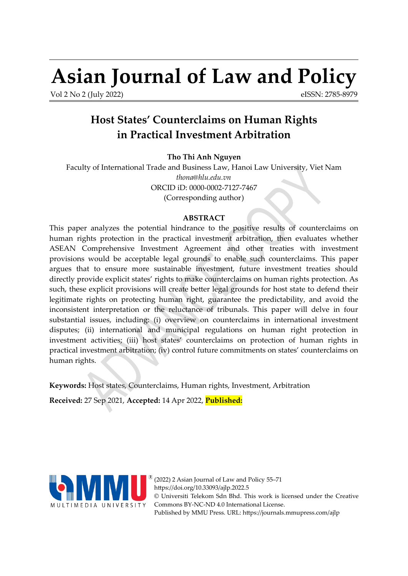# **Asian Journal of Law and Policy**

Vol 2 No 2 (July 2022)

<span id="page-0-0"></span>eISSN: 2785-8979

# **Host States' Counterclaims on Human Rights in Practical Investment Arbitration**

**Tho Thi Anh Nguyen**

Faculty of International Trade and Business Law, Hanoi Law University, Viet Nam *[thona@hlu.edu.vn](mailto:thona@hlu.edu.vn)* ORCID iD: [0000-0002-7127-7467](https://orcid.org/0000-0002-7127-7467) (Corresponding author)

# **ABSTRACT**

This paper analyzes the potential hindrance to the positive results of counterclaims on human rights protection in the practical investment arbitration, then evaluates whether ASEAN Comprehensive Investment Agreement and other treaties with investment provisions would be acceptable legal grounds to enable such counterclaims. This paper argues that to ensure more sustainable investment, future investment treaties should directly provide explicit states' rights to make counterclaims on human rights protection. As such, these explicit provisions will create better legal grounds for host state to defend their legitimate rights on protecting human right, guarantee the predictability, and avoid the inconsistent interpretation or the reluctance of tribunals. This paper will delve in four substantial issues, including: (i) overview on counterclaims in international investment disputes; (ii) international and municipal regulations on human right protection in investment activities; (iii) host states' counterclaims on protection of human rights in practical investment arbitration; (iv) control future commitments on states' counterclaims on human rights.

**Keywords:** Host states, Counterclaims, Human rights, Investment, Arbitration

**Received:** 27 Sep 2021, **Accepted:** 14 Apr 2022, **Published:**



(2022) 2 Asian Journal of Law and Policy [55](#page-0-0)[–71](#page-16-0) <https://doi.org/10.33093/ajlp.2022.5> © Universiti Telekom Sdn Bhd. This work is licensed under the [Creative](https://creativecommons.org/licenses/by-nc-nd/4.0/) [Commons BY-NC-ND 4.0 International License.](https://creativecommons.org/licenses/by-nc-nd/4.0/) Published by MMU Press. URL:<https://journals.mmupress.com/ajlp>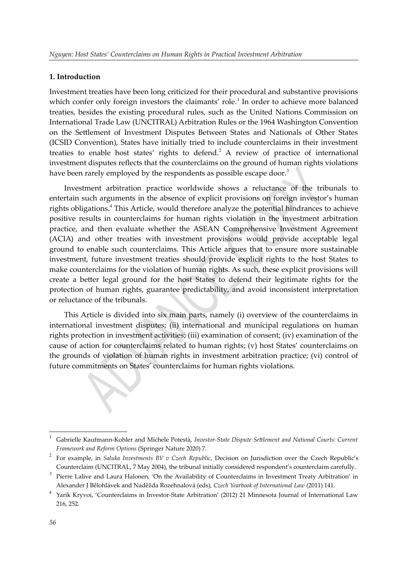#### **1. Introduction**

<span id="page-1-0"></span>Investment treaties have been long criticized for their procedural and substantive provisions which confer only foreign investors the claimants' role.<sup>[1](#page-1-1)</sup> In order to achieve more balanced treaties, besides the existing procedural rules, such as the United Nations Commission on International Trade Law (UNCITRAL) Arbitration Rules or the 1964 Washington Convention on the Settlement of Investment Disputes Between States and Nationals of Other States (ICSID Convention), States have initially tried to include counterclaims in their investment treaties to enable host states' rights to defend.<sup>[2](#page-1-3)</sup> A review of practice of international investment disputes reflects that the counterclaims on the ground of human rights violations have been rarely employed by the respondents as possible escape door.<sup>[3](#page-1-5)</sup>

<span id="page-1-6"></span><span id="page-1-4"></span><span id="page-1-2"></span>Investment arbitration practice worldwide shows a reluctance of the tribunals to entertain such arguments in the absence of explicit provisions on foreign investor's human rights obligations.<sup>[4](#page-1-7)</sup> This Article, would therefore analyze the potential hindrances to achieve positive results in counterclaims for human rights violation in the investment arbitration practice, and then evaluate whether the ASEAN Comprehensive Investment Agreement (ACIA) and other treaties with investment provisions would provide acceptable legal ground to enable such counterclaims. This Article argues that to ensure more sustainable investment, future investment treaties should provide explicit rights to the host States to make counterclaims for the violation of human rights. As such, these explicit provisions will create a better legal ground for the host States to defend their legitimate rights for the protection of human rights, guarantee predictability, and avoid inconsistent interpretation or reluctance of the tribunals.

This Article is divided into six main parts, namely (i) overview of the counterclaims in international investment disputes; (ii) international and municipal regulations on human rights protection in investment activities; (iii) examination of consent; (iv) examination of the cause of action for counterclaims related to human rights; (v) host States' counterclaims on the grounds of violation of human rights in investment arbitration practice; (vi) control of future commitments on States' counterclaims for human rights violations.

<span id="page-1-1"></span>[<sup>1</sup>](#page-1-0) Gabrielle Kaufmann-Kohler and Michele Potestà, *Investor-State Dispute Settlement and National Courts: Current Framework and Reform Options* (Springer Nature 2020) 7.

<span id="page-1-3"></span>[<sup>2</sup>](#page-1-2) For example, in *Saluka Investments BV v Czech Republic*, Decision on Jurisdiction over the Czech Republic's Counterclaim (UNCITRAL, 7 May 2004), the tribunal initially considered respondent's counterclaim carefully.

<span id="page-1-5"></span><sup>&</sup>lt;sup>[3](#page-1-4)</sup> Pierre Lalive and Laura Halonen, 'On the Availability of Counterclaims in Investment Treaty Arbitration' in Alexander J Bělohlávek and Naděžda Rozehnalová (eds), *Czech Yearbook of International Law* (2011) 141.

<span id="page-1-7"></span><sup>&</sup>lt;sup>[4](#page-1-6)</sup> Yarik Kryvoi, 'Counterclaims in Investor-State Arbitration' (2012) 21 Minnesota Journal of International Law 216, 252.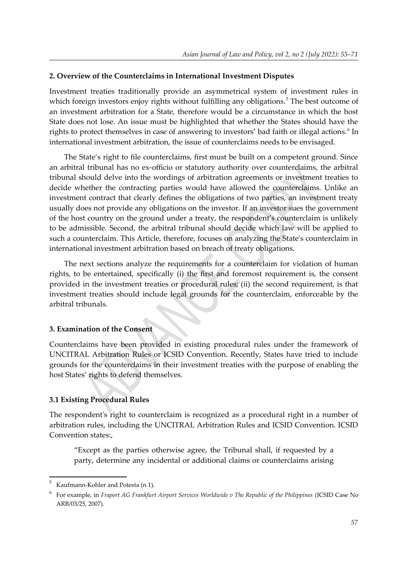#### **2. Overview of the Counterclaims in International Investment Disputes**

<span id="page-2-0"></span>Investment treaties traditionally provide an asymmetrical system of investment rules in which foreign investors enjoy rights without fulfilling any obligations.<sup>[5](#page-2-1)</sup> The best outcome of an investment arbitration for a State, therefore would be a circumstance in which the host State does not lose. An issue must be highlighted that whether the States should have the rights to protect themselves in case of answering to investors' bad faith or illegal actions.<sup>[6](#page-2-3)</sup> In international investment arbitration, the issue of counterclaims needs to be envisaged.

<span id="page-2-2"></span>The State's right to file counterclaims, first must be built on a competent ground. Since an arbitral tribunal has no ex-officio or statutory authority over counterclaims, the arbitral tribunal should delve into the wordings of arbitration agreements or investment treaties to decide whether the contracting parties would have allowed the counterclaims. Unlike an investment contract that clearly defines the obligations of two parties, an investment treaty usually does not provide any obligations on the investor. If an investor sues the government of the host country on the ground under a treaty, the respondent's counterclaim is unlikely to be admissible. Second, the arbitral tribunal should decide which law will be applied to such a counterclaim. This Article, therefore, focuses on analyzing the State's counterclaim in international investment arbitration based on breach of treaty obligations.

The next sections analyze the requirements for a counterclaim for violation of human rights, to be entertained, specifically (i) the first and foremost requirement is, the consent provided in the investment treaties or procedural rules; (ii) the second requirement, is that investment treaties should include legal grounds for the counterclaim, enforceable by the arbitral tribunals.

#### **3. Examination of the Consent**

Counterclaims have been provided in existing procedural rules under the framework of UNCITRAL Arbitration Rules or ICSID Convention. Recently, States have tried to include grounds for the counterclaims in their investment treaties with the purpose of enabling the host States' rights to defend themselves.

#### **3.1 Existing Procedural Rules**

The respondent's right to counterclaim is recognized as a procedural right in a number of arbitration rules, including the UNCITRAL Arbitration Rules and ICSID Convention. ICSID Convention states:,

"Except as the parties otherwise agree, the Tribunal shall, if requested by a party, determine any incidental or additional claims or counterclaims arising

<span id="page-2-1"></span>[<sup>5</sup>](#page-2-0)Kaufmann-Kohler and Potesta (n [1\)](#page-1-1).

<span id="page-2-3"></span>[<sup>6</sup>](#page-2-2)For example, in *Fraport AG Frankfurt Airport Services Worldwide v The Republic of the Philippines* (ICSID Case No ARB/03/25, 2007).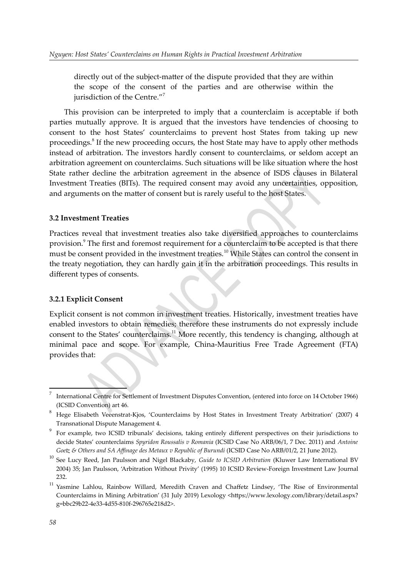<span id="page-3-0"></span>directly out of the subject-matter of the dispute provided that they are within the scope of the consent of the parties and are otherwise within the jurisdiction of the Centre."[7](#page-3-1)

<span id="page-3-2"></span>This provision can be interpreted to imply that a counterclaim is acceptable if both parties mutually approve. It is argued that the investors have tendencies of choosing to consent to the host States' counterclaims to prevent host States from taking up new proceedings.<sup>[8](#page-3-3)</sup> If the new proceeding occurs, the host State may have to apply other methods instead of arbitration. The investors hardly consent to counterclaims, or seldom accept an arbitration agreement on counterclaims. Such situations will be like situation where the host State rather decline the arbitration agreement in the absence of ISDS clauses in Bilateral Investment Treaties (BITs). The required consent may avoid any uncertainties, opposition, and arguments on the matter of consent but is rarely useful to the host States.

#### **3.2 Investment Treaties**

<span id="page-3-6"></span><span id="page-3-4"></span>Practices reveal that investment treaties also take diversified approaches to counterclaims provision.<sup>[9](#page-3-5)</sup> The first and foremost requirement for a counterclaim to be accepted is that there must be consent provided in the investment treaties.<sup>[10](#page-3-7)</sup> While States can control the consent in the treaty negotiation, they can hardly gain it in the arbitration proceedings. This results in different types of consents.

#### **3.2.1 Explicit Consent**

<span id="page-3-8"></span>Explicit consent is not common in investment treaties. Historically, investment treaties have enabled investors to obtain remedies; therefore these instruments do not expressly include consent to the States' counterclaims.<sup>[11](#page-3-9)</sup> More recently, this tendency is changing, although at minimal pace and scope. For example, China-Mauritius Free Trade Agreement (FTA) provides that:

<span id="page-3-1"></span>[<sup>7</sup>](#page-3-0)International Centre for Settlement of Investment Disputes Convention, (entered into force on 14 October 1966) (ICSID Convention) art 46.

<span id="page-3-3"></span>[<sup>8</sup>](#page-3-2) Hege Elisabeth Veeenstrat-Kjos, 'Counterclaims by Host States in Investment Treaty Arbitration' (2007) 4 Transnational Dispute Management 4.

<span id="page-3-5"></span><sup>&</sup>lt;sup>[9](#page-3-4)</sup> For example, two ICSID tribunals' decisions, taking entirely different perspectives on their jurisdictions to decide States' counterclaims *Spyridon Roussalis v Romania* (ICSID Case No ARB/06/1, 7 Dec. 2011) and *Antoine Goetz & Others and SA Affinage des Metaux v Republic of Burundi* (ICSID Case No ARB/01/2, 21 June 2012).

<span id="page-3-7"></span>[<sup>10</sup>](#page-3-6) See Lucy Reed, Jan Paulsson and Nigel Blackaby, *Guide to ICSID Arbitration* (Kluwer Law International BV 2004) 35; Jan Paulsson, 'Arbitration Without Privity' (1995) 10 ICSID Review-Foreign Investment Law Journal 232.

<span id="page-3-9"></span>[<sup>11</sup>](#page-3-8) Yasmine Lahlou, Rainbow Willard, Meredith Craven and Chaffetz Lindsey, 'The Rise of Environmental Counterclaims in Mining Arbitration' (31 July 2019) Lexology <https://www.lexology.com/library/detail.aspx? g=bbc29b22-4e33-4d55-810f-296765e218d2>.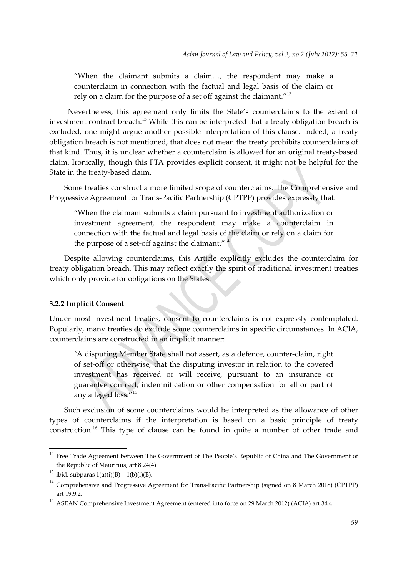<span id="page-4-2"></span><span id="page-4-0"></span>"When the claimant submits a claim…, the respondent may make a counterclaim in connection with the factual and legal basis of the claim or rely on a claim for the purpose of a set off against the claimant."<sup>[12](#page-4-1)</sup>

 Nevertheless, this agreement only limits the State's counterclaims to the extent of investment contract breach.<sup>[13](#page-4-3)</sup> While this can be interpreted that a treaty obligation breach is excluded, one might argue another possible interpretation of this clause. Indeed, a treaty obligation breach is not mentioned, that does not mean the treaty prohibits counterclaims of that kind. Thus, it is unclear whether a counterclaim is allowed for an original treaty-based claim. Ironically, though this FTA provides explicit consent, it might not be helpful for the State in the treaty-based claim.

Some treaties construct a more limited scope of counterclaims. The Comprehensive and Progressive Agreement for Trans-Pacific Partnership (CPTPP) provides expressly that:

<span id="page-4-4"></span>"When the claimant submits a claim pursuant to investment authorization or investment agreement, the respondent may make a counterclaim in connection with the factual and legal basis of the claim or rely on a claim for the purpose of a set-off against the claimant." $14$ 

Despite allowing counterclaims, this Article explicitly excludes the counterclaim for treaty obligation breach. This may reflect exactly the spirit of traditional investment treaties which only provide for obligations on the States.

#### **3.2.2 Implicit Consent**

Under most investment treaties, consent to counterclaims is not expressly contemplated. Popularly, many treaties do exclude some counterclaims in specific circumstances. In ACIA, counterclaims are constructed in an implicit manner:

<span id="page-4-6"></span>"A disputing Member State shall not assert, as a defence, counter-claim, right of set-off or otherwise, that the disputing investor in relation to the covered investment has received or will receive, pursuant to an insurance or guarantee contract, indemnification or other compensation for all or part of any alleged loss."[15](#page-4-7)

<span id="page-4-8"></span>Such exclusion of some counterclaims would be interpreted as the allowance of other types of counterclaims if the interpretation is based on a basic principle of treaty construction.[16](#page-5-0) This type of clause can be found in quite a number of other trade and

<span id="page-4-1"></span> $12$  Free Trade Agreement between The Government of The People's Republic of China and The Government of the Republic of Mauritius, art 8.24(4).

<span id="page-4-3"></span><sup>&</sup>lt;sup>[13](#page-4-2)</sup> ibid, subparas  $1(a)(i)(B) - 1(b)(i)(B)$ .

<span id="page-4-5"></span><sup>&</sup>lt;sup>[14](#page-4-4)</sup> Comprehensive and Progressive Agreement for Trans-Pacific Partnership (signed on 8 March 2018) (CPTPP) art 19.9.2.

<span id="page-4-7"></span><sup>&</sup>lt;sup>[15](#page-4-6)</sup> ASEAN Comprehensive Investment Agreement (entered into force on 29 March 2012) (ACIA) art 34.4.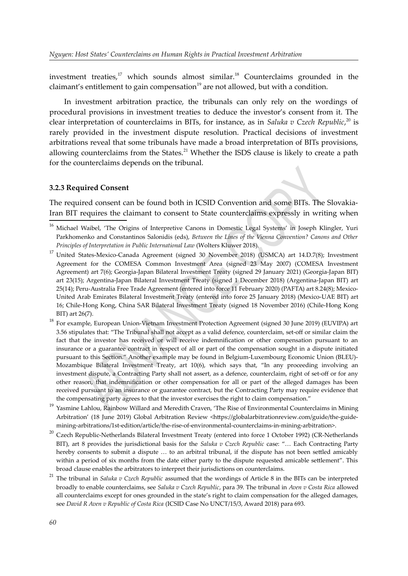<span id="page-5-5"></span><span id="page-5-3"></span><span id="page-5-1"></span>investment treaties,<sup>[17](#page-5-2)</sup> which sounds almost similar.<sup>[18](#page-5-4)</sup> Counterclaims grounded in the claimant's entitlement to gain compensation<sup>[19](#page-5-6)</sup> are not allowed, but with a condition.

<span id="page-5-7"></span>In investment arbitration practice, the tribunals can only rely on the wordings of procedural provisions in investment treaties to deduce the investor's consent from it. The clear interpretation of counterclaims in BITs, for instance, as in *Saluka v Czech Republic*, [20](#page-5-8) is rarely provided in the investment dispute resolution. Practical decisions of investment arbitrations reveal that some tribunals have made a broad interpretation of BITs provisions, allowing counterclaims from the States.<sup>[21](#page-5-10)</sup> Whether the ISDS clause is likely to create a path for the counterclaims depends on the tribunal.

#### <span id="page-5-9"></span>**3.2.3 Required Consent**

The required consent can be found both in ICSID Convention and some BITs. The Slovakia-Iran BIT requires the claimant to consent to State counterclaims expressly in writing when

<span id="page-5-0"></span><sup>&</sup>lt;sup>[16](#page-4-8)</sup> Michael Waibel, 'The Origins of Interpretive Canons in Domestic Legal Systems' in Joseph Klingler, Yuri Parkhomenko and Constantinos Salonidis (eds), *Between the Lines of the Vienna Convention? Canons and Other Principles of Interpretation in Public International Law* (Wolters Kluwer 2018).

<span id="page-5-2"></span><sup>&</sup>lt;sup>[17](#page-5-1)</sup> United States-Mexico-Canada Agreement (signed 30 November 2018) (USMCA) art 14.D.7(8); Investment Agreement for the COMESA Common Investment Area (signed 23 May 2007) (COMESA Investment Agreement) art 7(6); Georgia-Japan Bilateral Investment Treaty (signed 29 January 2021) (Georgia-Japan BIT) art 23(15); Argentina-Japan Bilateral Investment Treaty (signed 1 December 2018) (Argentina-Japan BIT) art 25(14); Peru-Australia Free Trade Agreement (entered into force 11 February 2020) (PAFTA) art 8.24(8); Mexico-United Arab Emirates Bilateral Investment Treaty (entered into force 25 January 2018) (Mexico-UAE BIT) art 16; Chile-Hong Kong, China SAR Bilateral Investment Treaty (signed 18 November 2016) (Chile-Hong Kong BIT) art 26(7).

<span id="page-5-4"></span>[<sup>18</sup>](#page-5-3) For example, European Union-Vietnam Investment Protection Agreement (signed 30 June 2019) (EUVIPA) art 3.56 stipulates that: "The Tribunal shall not accept as a valid defence, counterclaim, set-off or similar claim the fact that the investor has received or will receive indemnification or other compensation pursuant to an insurance or a guarantee contract in respect of all or part of the compensation sought in a dispute initiated pursuant to this Section." Another example may be found in Belgium-Luxembourg Economic Union (BLEU)- Mozambique Bilateral Investment Treaty, art 10(6), which says that, "In any proceeding involving an investment dispute, a Contracting Party shall not assert, as a defence, counterclaim, right of set-off or for any other reason, that indemnification or other compensation for all or part of the alleged damages has been received pursuant to an insurance or guarantee contract, but the Contracting Party may require evidence that the compensating party agrees to that the investor exercises the right to claim compensation."

<span id="page-5-6"></span>[<sup>19</sup>](#page-5-5) Yasmine Lahlou, Rainbow Willard and Meredith Craven, 'The Rise of Environmental Counterclaims in Mining Arbitration' (18 June 2019) Global Arbitration Review <https://globalarbitrationreview.com/guide/the-guidemining-arbitrations/1st-edition/article/the-rise-of-environmental-counterclaims-in-mining-arbitration>.

<span id="page-5-8"></span><sup>&</sup>lt;sup>[20](#page-5-7)</sup> Czech Republic-Netherlands Bilateral Investment Treaty (entered into force 1 October 1992) (CR-Netherlands BIT), art 8 provides the jurisdictional basis for the *Saluka v Czech Republic* case: "… Each Contracting Party hereby consents to submit a dispute … to an arbitral tribunal, if the dispute has not been settled amicably within a period of six months from the date either party to the dispute requested amicable settlement". This broad clause enables the arbitrators to interpret their jurisdictions on counterclaims.

<span id="page-5-10"></span>[<sup>21</sup>](#page-5-9) The tribunal in *Saluka v Czech Republic* assumed that the wordings of Article 8 in the BITs can be interpreted broadly to enable counterclaims, see *Saluka v Czech Republic*, para 39. The tribunal in *Aven v Costa Rica* allowed all counterclaims except for ones grounded in the state's right to claim compensation for the alleged damages, see *David R Aven v Republic of Costa Rica* (ICSID Case No UNCT/15/3, Award 2018) para 693.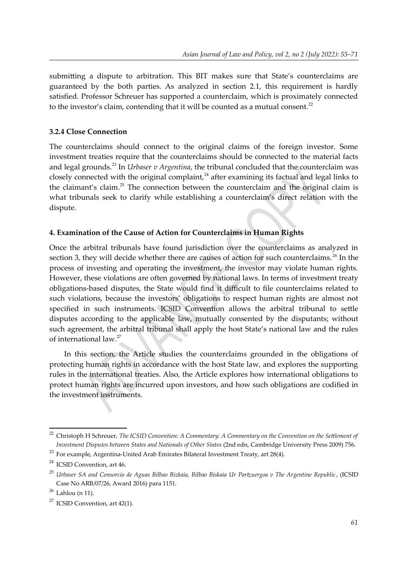submitting a dispute to arbitration. This BIT makes sure that State's counterclaims are guaranteed by the both parties. As analyzed in section 2.1, this requirement is hardly satisfied. Professor Schreuer has supported a counterclaim, which is proximately connected to the investor's claim, contending that it will be counted as a mutual consent. $^{22}$  $^{22}$  $^{22}$ 

# <span id="page-6-0"></span>**3.2.4 Close Connection**

<span id="page-6-6"></span><span id="page-6-4"></span><span id="page-6-2"></span>The counterclaims should connect to the original claims of the foreign investor. Some investment treaties require that the counterclaims should be connected to the material facts and legal grounds.<sup>[23](#page-6-3)</sup> In *Urbaser v Argentina*, the tribunal concluded that the counterclaim was closely connected with the original complaint,  $24$  after examining its factual and legal links to the claimant's claim.<sup>[25](#page-6-7)</sup> The connection between the counterclaim and the original claim is what tribunals seek to clarify while establishing a counterclaim's direct relation with the dispute.

#### **4. Examination of the Cause of Action for Counterclaims in Human Rights**

<span id="page-6-8"></span>Once the arbitral tribunals have found jurisdiction over the counterclaims as analyzed in section 3, they will decide whether there are causes of action for such counterclaims.  $^{26}$  $^{26}$  $^{26}$  In the process of investing and operating the investment, the investor may violate human rights. However, these violations are often governed by national laws. In terms of investment treaty obligations-based disputes, the State would find it difficult to file counterclaims related to such violations, because the investors' obligations to respect human rights are almost not specified in such instruments. ICSID Convention allows the arbitral tribunal to settle disputes according to the applicable law, mutually consented by the disputants; without such agreement, the arbitral tribunal shall apply the host State's national law and the rules of international law.[27](#page-6-11)

<span id="page-6-10"></span>In this section, the Article studies the counterclaims grounded in the obligations of protecting human rights in accordance with the host State law, and explores the supporting rules in the international treaties. Also, the Article explores how international obligations to protect human rights are incurred upon investors, and how such obligations are codified in the investment instruments.

<span id="page-6-1"></span>[<sup>22</sup>](#page-6-0) Christoph H Schreuer, *The ICSID Convention: A Commentary: A Commentary on the Convention on the Settlement of Investment Disputes between States and Nationals of Other States* (2nd edn, Cambridge University Press 2009) 756.

<span id="page-6-3"></span><sup>&</sup>lt;sup>[23](#page-6-2)</sup> For example, Argentina-United Arab Emirates Bilateral Investment Treaty, art 28(4).

<span id="page-6-5"></span> $^{24}$  $^{24}$  $^{24}$  ICSID Convention, art 46.

<span id="page-6-7"></span>[<sup>25</sup>](#page-6-6) *Urbaser SA and Consorcio de Aguas Bilbao Bizkaia, Bilbao Biskaia Ur Partzuergoa v The Argentine Republic* , (ICSID Case No ARB/07/26, Award 2016) para 1151.

<span id="page-6-9"></span> $26$  Lahlou (n 11).

<span id="page-6-11"></span><sup>&</sup>lt;sup>[27](#page-6-10)</sup> ICSID Convention, art  $42(1)$ .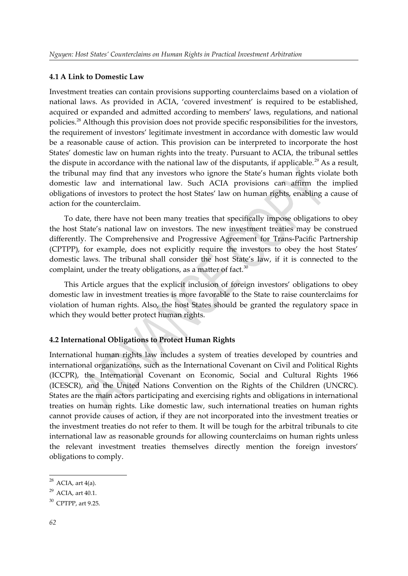#### **4.1 A Link to Domestic Law**

<span id="page-7-0"></span>Investment treaties can contain provisions supporting counterclaims based on a violation of national laws. As provided in ACIA, 'covered investment' is required to be established, acquired or expanded and admitted according to members' laws, regulations, and national policies.<sup>[28](#page-7-1)</sup> Although this provision does not provide specific responsibilities for the investors, the requirement of investors' legitimate investment in accordance with domestic law would be a reasonable cause of action. This provision can be interpreted to incorporate the host States' domestic law on human rights into the treaty. Pursuant to ACIA, the tribunal settles the dispute in accordance with the national law of the disputants, if applicable.<sup>[29](#page-7-3)</sup> As a result, the tribunal may find that any investors who ignore the State's human rights violate both domestic law and international law. Such ACIA provisions can affirm the implied obligations of investors to protect the host States' law on human rights, enabling a cause of action for the counterclaim.

<span id="page-7-2"></span>To date, there have not been many treaties that specifically impose obligations to obey the host State's national law on investors. The new investment treaties may be construed differently. The Comprehensive and Progressive Agreement for Trans-Pacific Partnership (CPTPP), for example, does not explicitly require the investors to obey the host States' domestic laws. The tribunal shall consider the host State's law, if it is connected to the complaint, under the treaty obligations, as a matter of fact. $30$ 

<span id="page-7-4"></span>This Article argues that the explicit inclusion of foreign investors' obligations to obey domestic law in investment treaties is more favorable to the State to raise counterclaims for violation of human rights. Also, the host States should be granted the regulatory space in which they would better protect human rights.

# **4.2 International Obligations to Protect Human Rights**

International human rights law includes a system of treaties developed by countries and international organizations, such as the International Covenant on Civil and Political Rights (ICCPR), the International Covenant on Economic, Social and Cultural Rights 1966 (ICESCR), and the United Nations Convention on the Rights of the Children (UNCRC). States are the main actors participating and exercising rights and obligations in international treaties on human rights. Like domestic law, such international treaties on human rights cannot provide causes of action, if they are not incorporated into the investment treaties or the investment treaties do not refer to them. It will be tough for the arbitral tribunals to cite international law as reasonable grounds for allowing counterclaims on human rights unless the relevant investment treaties themselves directly mention the foreign investors' obligations to comply.

<span id="page-7-1"></span> $^{28}$  $^{28}$  $^{28}$  ACIA, art 4(a).

<span id="page-7-3"></span> $^{29}$  $^{29}$  $^{29}$  ACIA, art 40.1.

<span id="page-7-5"></span> $30$  CPTPP, art 9.25.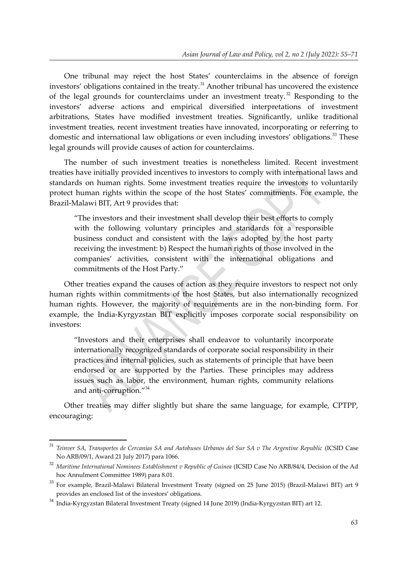<span id="page-8-2"></span><span id="page-8-0"></span>One tribunal may reject the host States' counterclaims in the absence of foreign investors' obligations contained in the treaty. $31$  Another tribunal has uncovered the existence of the legal grounds for counterclaims under an investment treaty.<sup>[32](#page-8-3)</sup> Responding to the investors' adverse actions and empirical diversified interpretations of investment arbitrations, States have modified investment treaties. Significantly, unlike traditional investment treaties, recent investment treaties have innovated, incorporating or referring to domestic and international law obligations or even including investors' obligations.<sup>[33](#page-8-5)</sup> These legal grounds will provide causes of action for counterclaims.

The number of such investment treaties is nonetheless limited. Recent investment treaties have initially provided incentives to investors to comply with international laws and standards on human rights. Some investment treaties require the investors to voluntarily protect human rights within the scope of the host States' commitments. For example, the Brazil-Malawi BIT, Art 9 provides that:

<span id="page-8-4"></span>"The investors and their investment shall develop their best efforts to comply with the following voluntary principles and standards for a responsible business conduct and consistent with the laws adopted by the host party receiving the investment: b) Respect the human rights of those involved in the companies' activities, consistent with the international obligations and commitments of the Host Party."

Other treaties expand the causes of action as they require investors to respect not only human rights within commitments of the host States, but also internationally recognized human rights. However, the majority of requirements are in the non-binding form. For example, the India-Kyrgyzstan BIT explicitly imposes corporate social responsibility on investors:

<span id="page-8-6"></span>"Investors and their enterprises shall endeavor to voluntarily incorporate internationally recognized standards of corporate social responsibility in their practices and internal policies, such as statements of principle that have been endorsed or are supported by the Parties. These principles may address issues such as labor, the environment, human rights, community relations and anti-corruption."[34](#page-8-7)

Other treaties may differ slightly but share the same language, for example, CPTPP, encouraging:

<span id="page-8-1"></span>[<sup>31</sup>](#page-8-0) *Teinver SA, Transportes de Cercanías SA and Autobuses Urbanos del Sur SA v The Argentine Republic* (ICSID Case No ARB/09/1, Award 21 July 2017) para 1066.

<span id="page-8-3"></span>[<sup>32</sup>](#page-8-2) *Maritime International Nominees Establishment v Republic of Guinea* (ICSID Case No ARB/84/4, Decision of the Ad hoc Annulment Committee 1989) para 8.01.

<span id="page-8-5"></span><sup>&</sup>lt;sup>[33](#page-8-4)</sup> For example, Brazil-Malawi Bilateral Investment Treaty (signed on 25 June 2015) (Brazil-Malawi BIT) art 9 provides an enclosed list of the investors' obligations.

<span id="page-8-7"></span><sup>&</sup>lt;sup>[34](#page-8-6)</sup> India-Kyrgyzstan Bilateral Investment Treaty (signed 14 June 2019) (India-Kyrgyzstan BIT) art 12.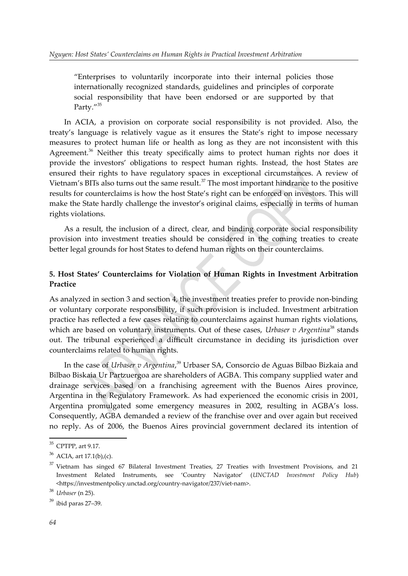<span id="page-9-0"></span>"Enterprises to voluntarily incorporate into their internal policies those internationally recognized standards, guidelines and principles of corporate social responsibility that have been endorsed or are supported by that Party."<sup>[35](#page-9-1)</sup>

<span id="page-9-2"></span>In ACIA, a provision on corporate social responsibility is not provided. Also, the treaty's language is relatively vague as it ensures the State's right to impose necessary measures to protect human life or health as long as they are not inconsistent with this Agreement.<sup>[36](#page-9-3)</sup> Neither this treaty specifically aims to protect human rights nor does it provide the investors' obligations to respect human rights. Instead, the host States are ensured their rights to have regulatory spaces in exceptional circumstances. A review of Vietnam's BITs also turns out the same result.<sup>[37](#page-9-5)</sup> The most important hindrance to the positive results for counterclaims is how the host State's right can be enforced on investors. This will make the State hardly challenge the investor's original claims, especially in terms of human rights violations.

<span id="page-9-4"></span>As a result, the inclusion of a direct, clear, and binding corporate social responsibility provision into investment treaties should be considered in the coming treaties to create better legal grounds for host States to defend human rights on their counterclaims.

# **5. Host States' Counterclaims for Violation of Human Rights in Investment Arbitration Practice**

<span id="page-9-6"></span>As analyzed in section 3 and section 4, the investment treaties prefer to provide non-binding or voluntary corporate responsibility, if such provision is included. Investment arbitration practice has reflected a few cases relating to counterclaims against human rights violations, which are based on voluntary instruments. Out of these cases, *Urbaser v Argentina*<sup>[38](#page-9-7)</sup> stands out. The tribunal experienced a difficult circumstance in deciding its jurisdiction over counterclaims related to human rights.

<span id="page-9-8"></span>In the case of *Urbaser v Argentina*, [39](#page-9-9) Urbaser SA, Consorcio de Aguas Bilbao Bizkaia and Bilbao Biskaia Ur Partzuergoa are shareholders of AGBA. This company supplied water and drainage services based on a franchising agreement with the Buenos Aires province, Argentina in the Regulatory Framework. As had experienced the economic crisis in 2001, Argentina promulgated some emergency measures in 2002, resulting in AGBA's loss. Consequently, AGBA demanded a review of the franchise over and over again but received no reply. As of 2006, the Buenos Aires provincial government declared its intention of

<span id="page-9-1"></span> $35$  CPTPP, art 9.17.

<span id="page-9-3"></span> $36$  ACIA, art 17.1(b),(c).

<span id="page-9-5"></span> $37$  Vietnam has singed 67 Bilateral Investment Treaties, 27 Treaties with Investment Provisions, and 21 Investment Related Instruments, see 'Country Navigator' (*UNCTAD Investment Policy Hub*) <https://investmentpolicy.unctad.org/country-navigator/237/viet-nam>.

<span id="page-9-7"></span>[<sup>38</sup>](#page-9-6) *Urbaser* (n [25](#page-6-7)).

<span id="page-9-9"></span> $39$  ibid paras 27–39.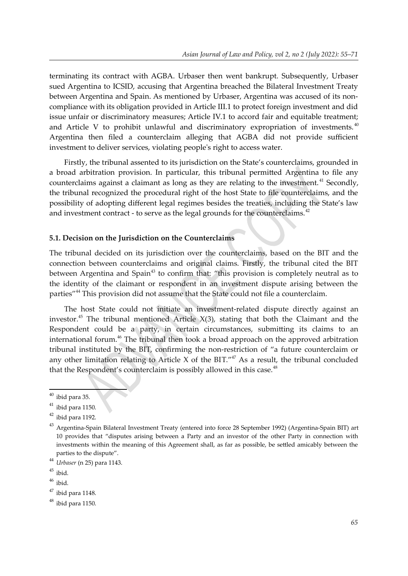terminating its contract with AGBA. Urbaser then went bankrupt. Subsequently, Urbaser sued Argentina to ICSID, accusing that Argentina breached the Bilateral Investment Treaty between Argentina and Spain. As mentioned by Urbaser, Argentina was accused of its noncompliance with its obligation provided in Article III.1 to protect foreign investment and did issue unfair or discriminatory measures; Article IV.1 to accord fair and equitable treatment; and Article V to prohibit unlawful and discriminatory expropriation of investments.  $40$ Argentina then filed a counterclaim alleging that AGBA did not provide sufficient investment to deliver services, violating people's right to access water.

<span id="page-10-2"></span><span id="page-10-0"></span>Firstly, the tribunal assented to its jurisdiction on the State's counterclaims, grounded in a broad arbitration provision. In particular, this tribunal permitted Argentina to file any counterclaims against a claimant as long as they are relating to the investment.<sup>[41](#page-10-3)</sup> Secondly, the tribunal recognized the procedural right of the host State to file counterclaims, and the possibility of adopting different legal regimes besides the treaties, including the State's law and investment contract - to serve as the legal grounds for the counterclaims.<sup>[42](#page-10-5)</sup>

#### <span id="page-10-4"></span>**5.1. Decision on the Jurisdiction on the Counterclaims**

<span id="page-10-6"></span>The tribunal decided on its jurisdiction over the counterclaims, based on the BIT and the connection between counterclaims and original claims. Firstly, the tribunal cited the BIT between Argentina and Spain<sup>[43](#page-10-7)</sup> to confirm that: "this provision is completely neutral as to the identity of the claimant or respondent in an investment dispute arising between the parties<sup>"[44](#page-10-9)</sup> This provision did not assume that the State could not file a counterclaim.

<span id="page-10-12"></span><span id="page-10-10"></span><span id="page-10-8"></span>The host State could not initiate an investment-related dispute directly against an investor.<sup>[45](#page-10-11)</sup> The tribunal mentioned Article  $X(3)$ , stating that both the Claimant and the Respondent could be a party, in certain circumstances, submitting its claims to an international forum.<sup>[46](#page-10-13)</sup> The tribunal then took a broad approach on the approved arbitration tribunal instituted by the BIT, confirming the non-restriction of "a future counterclaim or any other limitation relating to Article X of the BIT." $47$  As a result, the tribunal concluded that the Respondent's counterclaim is possibly allowed in this case.<sup>[48](#page-10-17)</sup>

<span id="page-10-16"></span><span id="page-10-14"></span><span id="page-10-1"></span> $40$  ibid para 35.

<span id="page-10-3"></span> $41$  ibid para 1150.

<span id="page-10-5"></span> $42$  ibid para 1192.

<span id="page-10-7"></span> $^{43}$  $^{43}$  $^{43}$  Argentina-Spain Bilateral Investment Treaty (entered into force 28 September 1992) (Argentina-Spain BIT) art 10 provides that "disputes arising between a Party and an investor of the other Party in connection with investments within the meaning of this Agreement shall, as far as possible, be settled amicably between the parties to the dispute".

<span id="page-10-9"></span>[<sup>44</sup>](#page-10-8) *Urbaser* (n 25) para 1143.

<span id="page-10-11"></span> $45$  ibid.

<span id="page-10-13"></span> $46$  ibid.

<span id="page-10-15"></span> $47$  ibid para 1148.

<span id="page-10-17"></span> $48$  ibid para 1150.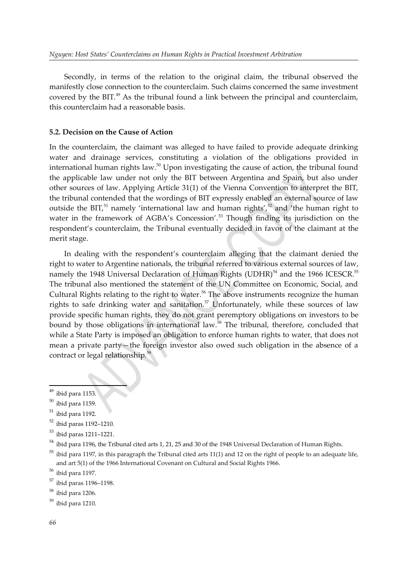<span id="page-11-0"></span>Secondly, in terms of the relation to the original claim, the tribunal observed the manifestly close connection to the counterclaim. Such claims concerned the same investment covered by the BIT. $49$  As the tribunal found a link between the principal and counterclaim, this counterclaim had a reasonable basis.

#### **5.2. Decision on the Cause of Action**

<span id="page-11-2"></span>In the counterclaim, the claimant was alleged to have failed to provide adequate drinking water and drainage services, constituting a violation of the obligations provided in international human rights law. [50](#page-11-3) Upon investigating the cause of action, the tribunal found the applicable law under not only the BIT between Argentina and Spain, but also under other sources of law. Applying Article 31(1) of the Vienna Convention to interpret the BIT, the tribunal contended that the wordings of BIT expressly enabled an external source of law outside the BIT,<sup>[51](#page-11-5)</sup> namely 'international law and human rights',<sup>[52](#page-11-7)</sup> and 'the human right to water in the framework of AGBA's Concession'.<sup>[53](#page-11-9)</sup> Though finding its jurisdiction on the respondent's counterclaim, the Tribunal eventually decided in favor of the claimant at the merit stage.

<span id="page-11-16"></span><span id="page-11-14"></span><span id="page-11-12"></span><span id="page-11-10"></span><span id="page-11-8"></span><span id="page-11-6"></span><span id="page-11-4"></span>In dealing with the respondent's counterclaim alleging that the claimant denied the right to water to Argentine nationals, the tribunal referred to various external sources of law, namely the 1948 Universal Declaration of Human Rights (UDHR) $54$  and the 1966 ICESCR.<sup>[55](#page-11-13)</sup> The tribunal also mentioned the statement of the UN Committee on Economic, Social, and Cultural Rights relating to the right to water.<sup>[56](#page-11-15)</sup> The above instruments recognize the human rights to safe drinking water and sanitation.<sup>[57](#page-11-17)</sup> Unfortunately, while these sources of law provide specific human rights, they do not grant peremptory obligations on investors to be bound by those obligations in international law.<sup>[58](#page-11-19)</sup> The tribunal, therefore, concluded that while a State Party is imposed an obligation to enforce human rights to water, that does not mean a private party—the foreign investor also owed such obligation in the absence of a contract or legal relationship.[59](#page-11-21)

<span id="page-11-20"></span><span id="page-11-18"></span><span id="page-11-1"></span> $49$  ibid para 1153.  $50$  ibid para 1159.

<span id="page-11-5"></span><span id="page-11-3"></span> $51$  ibid para 1192.

<span id="page-11-7"></span> $52$  ibid paras 1192–1210.

<span id="page-11-9"></span> $53$  ibid paras 1211–1221.

<span id="page-11-11"></span> $^{54}$  $^{54}$  $^{54}$  ibid para 1196, the Tribunal cited arts 1, 21, 25 and 30 of the 1948 Universal Declaration of Human Rights.

<span id="page-11-13"></span><sup>&</sup>lt;sup>[55](#page-11-12)</sup> ibid para 1197, in this paragraph the Tribunal cited arts 11(1) and 12 on the right of people to an adequate life, and art 5(1) of the 1966 International Covenant on Cultural and Social Rights 1966.

<span id="page-11-15"></span> $56$  ibid para 1197.

<span id="page-11-17"></span> $57$  ibid paras 1196–1198.

<span id="page-11-19"></span> $58$  ibid para 1206.

<span id="page-11-21"></span> $59$  ibid para 1210.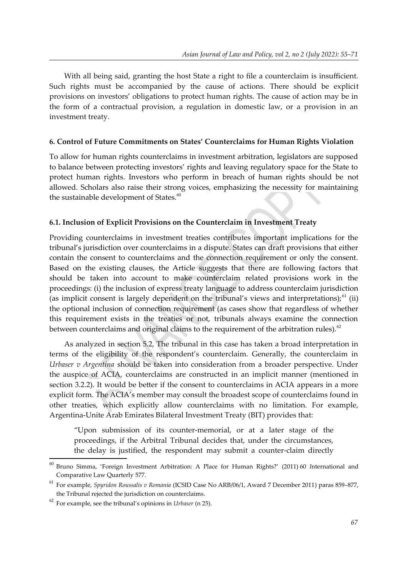With all being said, granting the host State a right to file a counterclaim is insufficient. Such rights must be accompanied by the cause of actions. There should be explicit provisions on investors' obligations to protect human rights. The cause of action may be in the form of a contractual provision, a regulation in domestic law, or a provision in an investment treaty.

#### **6. Control of Future Commitments on States' Counterclaims for Human Rights Violation**

To allow for human rights counterclaims in investment arbitration, legislators are supposed to balance between protecting investors' rights and leaving regulatory space for the State to protect human rights. Investors who perform in breach of human rights should be not allowed. Scholars also raise their strong voices, emphasizing the necessity for maintaining the sustainable development of States.<sup>[60](#page-12-1)</sup>

# <span id="page-12-0"></span>**6.1. Inclusion of Explicit Provisions on the Counterclaim in Investment Treaty**

Providing counterclaims in investment treaties contributes important implications for the tribunal's jurisdiction over counterclaims in a dispute. States can draft provisions that either contain the consent to counterclaims and the connection requirement or only the consent. Based on the existing clauses, the Article suggests that there are following factors that should be taken into account to make counterclaim related provisions work in the proceedings: (i) the inclusion of express treaty language to address counterclaim jurisdiction (as implicit consent is largely dependent on the tribunal's views and interpretations):  $61$  (ii) the optional inclusion of connection requirement (as cases show that regardless of whether this requirement exists in the treaties or not, tribunals always examine the connection between counterclaims and original claims to the requirement of the arbitration rules). $62$ 

<span id="page-12-2"></span>As analyzed in section 5.2, The tribunal in this case has taken a broad interpretation in terms of the eligibility of the respondent's counterclaim. Generally, the counterclaim in *Urbaser v Argentina* should be taken into consideration from a broader perspective. Under the auspice of ACIA, counterclaims are constructed in an implicit manner (mentioned in section 3.2.2). It would be better if the consent to counterclaims in ACIA appears in a more explicit form. The ACIA's member may consult the broadest scope of counterclaims found in other treaties, which explicitly allow counterclaims with no limitation. For example, Argentina-Unite Arab Emirates Bilateral Investment Treaty (BIT) provides that:

<span id="page-12-4"></span>"Upon submission of its counter-memorial, or at a later stage of the proceedings, if the Arbitral Tribunal decides that, under the circumstances, the delay is justified, the respondent may submit a counter-claim directly

<span id="page-12-1"></span>[<sup>60</sup>](#page-12-0) Bruno Simma, 'Foreign Investment Arbitration: A Place for Human Rights?' (2011) 60 *I*nternational and Comparative Law Quarterly 577.

<span id="page-12-3"></span>[<sup>61</sup>](#page-12-2) For example, *Spyridon Roussalis v Romania* (ICSID Case No ARB/06/1, Award 7 December 2011) paras 859–877, the Tribunal rejected the jurisdiction on counterclaims.

<span id="page-12-5"></span>[<sup>62</sup>](#page-12-4) For example, see the tribunal's opinions in *Urbaser* (n 25).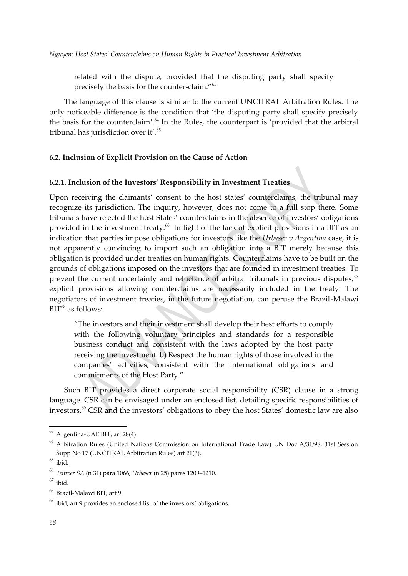<span id="page-13-4"></span><span id="page-13-2"></span><span id="page-13-0"></span>related with the dispute, provided that the disputing party shall specify precisely the basis for the counter-claim."[63](#page-13-1)

The language of this clause is similar to the current UNCITRAL Arbitration Rules. The only noticeable difference is the condition that 'the disputing party shall specify precisely the basis for the counterclaim'. [64](#page-13-3) In the Rules, the counterpart is 'provided that the arbitral tribunal has jurisdiction over it'.<sup>[65](#page-13-5)</sup>

#### **6.2. Inclusion of Explicit Provision on the Cause of Action**

# **6.2.1. Inclusion of the Investors' Responsibility in Investment Treaties**

<span id="page-13-6"></span>Upon receiving the claimants' consent to the host states' counterclaims, the tribunal may recognize its jurisdiction. The inquiry, however, does not come to a full stop there. Some tribunals have rejected the host States' counterclaims in the absence of investors' obligations provided in the investment treaty.<sup>[66](#page-13-7)</sup> In light of the lack of explicit provisions in a BIT as an indication that parties impose obligations for investors like the *Urbaser v Argentina* case, it is not apparently convincing to import such an obligation into a BIT merely because this obligation is provided under treaties on human rights. Counterclaims have to be built on the grounds of obligations imposed on the investors that are founded in investment treaties. To prevent the current uncertainty and reluctance of arbitral tribunals in previous disputes.<sup>[67](#page-13-9)</sup> explicit provisions allowing counterclaims are necessarily included in the treaty. The negotiators of investment treaties, in the future negotiation, can peruse the Brazil-Malawi  $BIT<sup>68</sup>$  $BIT<sup>68</sup>$  $BIT<sup>68</sup>$  as follows:

<span id="page-13-10"></span><span id="page-13-8"></span>"The investors and their investment shall develop their best efforts to comply with the following voluntary principles and standards for a responsible business conduct and consistent with the laws adopted by the host party receiving the investment: b) Respect the human rights of those involved in the companies' activities, consistent with the international obligations and commitments of the Host Party."

<span id="page-13-12"></span>Such BIT provides a direct corporate social responsibility (CSR) clause in a strong language. CSR can be envisaged under an enclosed list, detailing specific responsibilities of investors.<sup>[69](#page-13-13)</sup> CSR and the investors' obligations to obey the host States' domestic law are also

<span id="page-13-1"></span> $63$  Argentina-UAE BIT, art 28(4).

<span id="page-13-3"></span>[<sup>64</sup>](#page-13-2) Arbitration Rules (United Nations Commission on International Trade Law) UN Doc A/31/98, 31st Session Supp No 17 (UNCITRAL Arbitration Rules) art 21(3).

<span id="page-13-5"></span> $65$  ibid.

<span id="page-13-7"></span>[<sup>66</sup>](#page-13-6) *Teinver SA* (n 31) para 1066; *Urbaser* (n 25) paras 1209–1210.

<span id="page-13-9"></span> $67$  ibid.

<span id="page-13-11"></span><sup>&</sup>lt;sup>[68](#page-13-10)</sup> Brazil-Malawi BIT, art 9.

<span id="page-13-13"></span> $69$  ibid, art 9 provides an enclosed list of the investors' obligations.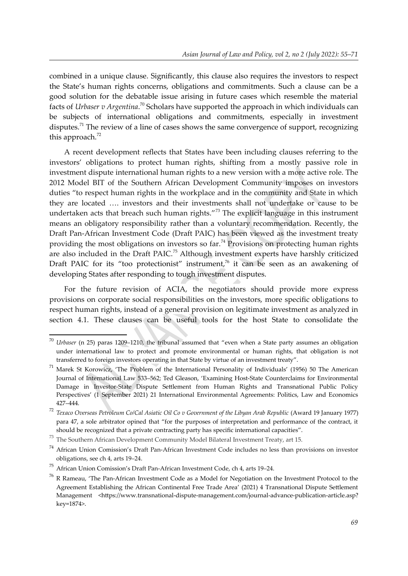<span id="page-14-0"></span>combined in a unique clause. Significantly, this clause also requires the investors to respect the State's human rights concerns, obligations and commitments. Such a clause can be a good solution for the debatable issue arising in future cases which resemble the material facts of *Urbaser v Argentina*. [70](#page-14-1) Scholars have supported the approach in which individuals can be subjects of international obligations and commitments, especially in investment disputes.<sup>[71](#page-14-3)</sup> The review of a line of cases shows the same convergence of support, recognizing this approach. $^{72}$  $^{72}$  $^{72}$ 

<span id="page-14-6"></span><span id="page-14-4"></span><span id="page-14-2"></span>A recent development reflects that States have been including clauses referring to the investors' obligations to protect human rights, shifting from a mostly passive role in investment dispute international human rights to a new version with a more active role. The 2012 Model BIT of the Southern African Development Community imposes on investors duties "to respect human rights in the workplace and in the community and State in which they are located …. investors and their investments shall not undertake or cause to be undertaken acts that breach such human rights."<sup>[73](#page-14-7)</sup> The explicit language in this instrument means an obligatory responsibility rather than a voluntary recommendation. Recently, the Draft Pan-African Investment Code (Draft PAIC) has been viewed as the investment treaty providing the most obligations on investors so far.<sup>[74](#page-14-9)</sup> Provisions on protecting human rights are also included in the Draft PAIC.<sup>[75](#page-14-11)</sup> Although investment experts have harshly criticized Draft PAIC for its "too protectionist" instrument,<sup>[76](#page-14-13)</sup> it can be seen as an awakening of developing States after responding to tough investment disputes.

<span id="page-14-12"></span><span id="page-14-10"></span><span id="page-14-8"></span>For the future revision of ACIA, the negotiators should provide more express provisions on corporate social responsibilities on the investors, more specific obligations to respect human rights, instead of a general provision on legitimate investment as analyzed in section 4.1. These clauses can be useful tools for the host State to consolidate the

<span id="page-14-1"></span>[<sup>70</sup>](#page-14-0) *Urbaser* (n 25) paras 1209–1210, the tribunal assumed that "even when a State party assumes an obligation under international law to protect and promote environmental or human rights, that obligation is not transferred to foreign investors operating in that State by virtue of an investment treaty".

<span id="page-14-3"></span>[<sup>71</sup>](#page-14-2) Marek St Korowicz, 'The Problem of the International Personality of Individuals' (1956) 50 The American Journal of International Law 533–562; Ted Gleason, 'Examining Host-State Counterclaims for Environmental Damage in Investor-State Dispute Settlement from Human Rights and Transnational Public Policy Perspectives' (1 September 2021) 21 International Environmental Agreements: Politics, Law and Economics 427–444.

<span id="page-14-5"></span>[<sup>72</sup>](#page-14-4) *Texaco Overseas Petroleum Co/Cal Asiatic Oil Co v Government of the Libyan Arab Republic* (Award 19 January 1977) para 47, a sole arbitrator opined that "for the purposes of interpretation and performance of the contract, it should be recognized that a private contracting party has specific international capacities".

<span id="page-14-7"></span> $^{73}$  $^{73}$  $^{73}$  The Southern African Development Community Model Bilateral Investment Treaty, art 15.

<span id="page-14-9"></span><sup>&</sup>lt;sup>[74](#page-14-8)</sup> African Union Comission's Draft Pan-African Investment Code includes no less than provisions on investor obligations, see ch 4, arts 19–24.

<span id="page-14-11"></span><sup>&</sup>lt;sup>[75](#page-14-10)</sup> African Union Comission's Draft Pan-African Investment Code, ch 4, arts 19–24.

<span id="page-14-13"></span>[<sup>76</sup>](#page-14-12) R Rameau, 'The Pan-African Investment Code as a Model for Negotiation on the Investment Protocol to the Agreement Establishing the African Continental Free Trade Area' (2021) 4 Transnational Dispute Settlement Management <https://www.transnational-dispute-management.com/journal-advance-publication-article.asp? key=1874>.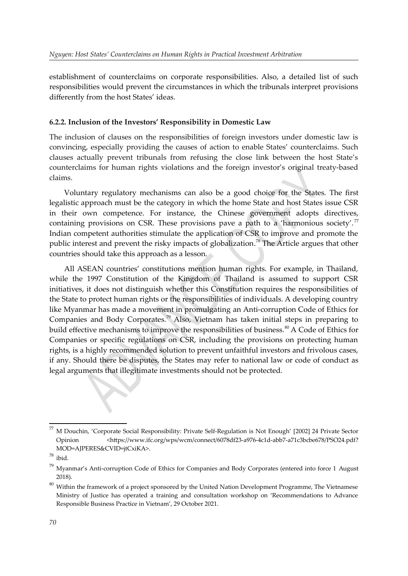establishment of counterclaims on corporate responsibilities. Also, a detailed list of such responsibilities would prevent the circumstances in which the tribunals interpret provisions differently from the host States' ideas.

#### **6.2.2. Inclusion of the Investors' Responsibility in Domestic Law**

The inclusion of clauses on the responsibilities of foreign investors under domestic law is convincing, especially providing the causes of action to enable States' counterclaims. Such clauses actually prevent tribunals from refusing the close link between the host State's counterclaims for human rights violations and the foreign investor's original treaty-based claims.

<span id="page-15-0"></span>Voluntary regulatory mechanisms can also be a good choice for the States. The first legalistic approach must be the category in which the home State and host States issue CSR in their own competence. For instance, the Chinese government adopts directives, containing provisions on CSR. These provisions pave a path to a 'harmonious society'.<sup>[77](#page-15-1)</sup> Indian competent authorities stimulate the application of CSR to improve and promote the public interest and prevent the risky impacts of globalization. [78](#page-15-3) The Article argues that other countries should take this approach as a lesson.

<span id="page-15-6"></span><span id="page-15-4"></span><span id="page-15-2"></span>All ASEAN countries' constitutions mention human rights. For example, in Thailand, while the 1997 Constitution of the Kingdom of Thailand is assumed to support CSR initiatives, it does not distinguish whether this Constitution requires the responsibilities of the State to protect human rights or the responsibilities of individuals. A developing country like Myanmar has made a movement in promulgating an Anti-corruption Code of Ethics for Companies and Body Corporates.<sup>[79](#page-15-5)</sup> Also, Vietnam has taken initial steps in preparing to build effective mechanisms to improve the responsibilities of business.<sup>[80](#page-15-7)</sup> A Code of Ethics for Companies or specific regulations on CSR, including the provisions on protecting human rights, is a highly recommended solution to prevent unfaithful investors and frivolous cases, if any. Should there be disputes, the States may refer to national law or code of conduct as legal arguments that illegitimate investments should not be protected.

<span id="page-15-1"></span> $^{77}$  $^{77}$  $^{77}$  M Douchin, 'Corporate Social Responsibility: Private Self-Regulation is Not Enough' [2002] 24 Private Sector Opinion <https://www.ifc.org/wps/wcm/connect/6078df23-a976-4c1d-abb7-a71c3bcbe678/PSO24.pdf? MOD=AJPERES&CVID=jtCxiKA>.

<span id="page-15-3"></span> $78$  ibid.

<span id="page-15-5"></span> $79$  Myanmar's Anti-corruption Code of Ethics for Companies and Body Corporates (entered into force 1 August 2018).

<span id="page-15-7"></span> $80$  Within the framework of a project sponsored by the United Nation Development Programme, The Vietnamese Ministry of Justice has operated a training and consultation workshop on 'Recommendations to Advance Responsible Business Practice in Vietnam', 29 October 2021.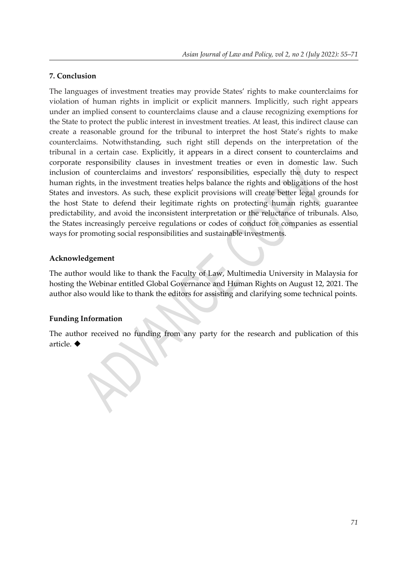# **7. Conclusion**

The languages of investment treaties may provide States' rights to make counterclaims for violation of human rights in implicit or explicit manners. Implicitly, such right appears under an implied consent to counterclaims clause and a clause recognizing exemptions for the State to protect the public interest in investment treaties. At least, this indirect clause can create a reasonable ground for the tribunal to interpret the host State's rights to make counterclaims. Notwithstanding, such right still depends on the interpretation of the tribunal in a certain case. Explicitly, it appears in a direct consent to counterclaims and corporate responsibility clauses in investment treaties or even in domestic law. Such inclusion of counterclaims and investors' responsibilities, especially the duty to respect human rights, in the investment treaties helps balance the rights and obligations of the host States and investors. As such, these explicit provisions will create better legal grounds for the host State to defend their legitimate rights on protecting human rights, guarantee predictability, and avoid the inconsistent interpretation or the reluctance of tribunals. Also, the States increasingly perceive regulations or codes of conduct for companies as essential ways for promoting social responsibilities and sustainable investments.

# **Acknowledgement**

The author would like to thank the Faculty of Law, Multimedia University in Malaysia for hosting the Webinar entitled Global Governance and Human Rights on August 12, 2021. The author also would like to thank the editors for assisting and clarifying some technical points.

# **Funding Information**

<span id="page-16-0"></span>The author received no funding from any party for the research and publication of this article. ◆